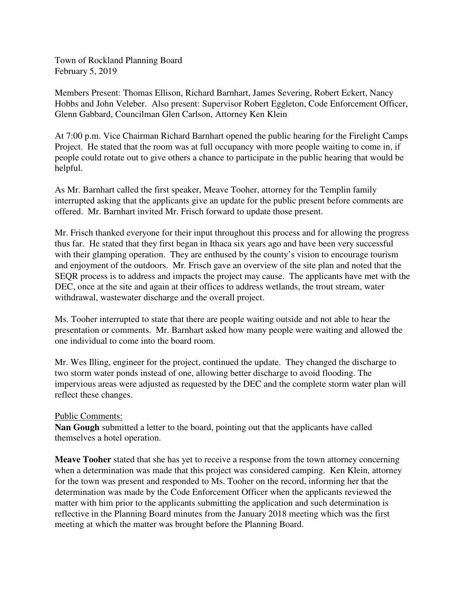Town of Rockland Planning Board February 5, 2019

Members Present: Thomas Ellison, Richard Barnhart, James Severing, Robert Eckert, Nancy Hobbs and John Veleber. Also present: Supervisor Robert Eggleton, Code Enforcement Officer, Glenn Gabbard, Councilman Glen Carlson, Attorney Ken Klein

At 7:00 p.m. Vice Chairman Richard Barnhart opened the public hearing for the Firelight Camps Project. He stated that the room was at full occupancy with more people waiting to come in, if people could rotate out to give others a chance to participate in the public hearing that would be helpful.

As Mr. Barnhart called the first speaker, Meave Tooher, attorney for the Templin family interrupted asking that the applicants give an update for the public present before comments are offered. Mr. Barnhart invited Mr. Frisch forward to update those present.

Mr. Frisch thanked everyone for their input throughout this process and for allowing the progress thus far. He stated that they first began in Ithaca six years ago and have been very successful with their glamping operation. They are enthused by the county's vision to encourage tourism and enjoyment of the outdoors. Mr. Frisch gave an overview of the site plan and noted that the SEQR process is to address and impacts the project may cause. The applicants have met with the DEC, once at the site and again at their offices to address wetlands, the trout stream, water withdrawal, wastewater discharge and the overall project.

Ms. Tooher interrupted to state that there are people waiting outside and not able to hear the presentation or comments. Mr. Barnhart asked how many people were waiting and allowed the one individual to come into the board room.

Mr. Wes Illing, engineer for the project, continued the update. They changed the discharge to two storm water ponds instead of one, allowing better discharge to avoid flooding. The impervious areas were adjusted as requested by the DEC and the complete storm water plan will reflect these changes.

## Public Comments:

**Nan Gough** submitted a letter to the board, pointing out that the applicants have called themselves a hotel operation.

**Meave Tooher** stated that she has yet to receive a response from the town attorney concerning when a determination was made that this project was considered camping. Ken Klein, attorney for the town was present and responded to Ms. Tooher on the record, informing her that the determination was made by the Code Enforcement Officer when the applicants reviewed the matter with him prior to the applicants submitting the application and such determination is reflective in the Planning Board minutes from the January 2018 meeting which was the first meeting at which the matter was brought before the Planning Board.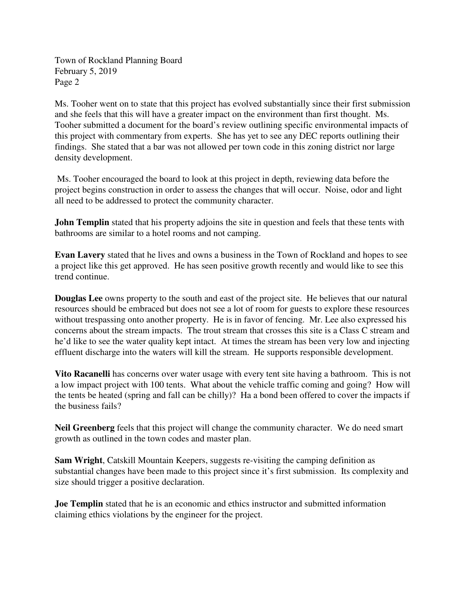Town of Rockland Planning Board February 5, 2019 Page 2

Ms. Tooher went on to state that this project has evolved substantially since their first submission and she feels that this will have a greater impact on the environment than first thought. Ms. Tooher submitted a document for the board's review outlining specific environmental impacts of this project with commentary from experts. She has yet to see any DEC reports outlining their findings. She stated that a bar was not allowed per town code in this zoning district nor large density development.

 Ms. Tooher encouraged the board to look at this project in depth, reviewing data before the project begins construction in order to assess the changes that will occur. Noise, odor and light all need to be addressed to protect the community character.

**John Templin** stated that his property adjoins the site in question and feels that these tents with bathrooms are similar to a hotel rooms and not camping.

**Evan Lavery** stated that he lives and owns a business in the Town of Rockland and hopes to see a project like this get approved. He has seen positive growth recently and would like to see this trend continue.

**Douglas Lee** owns property to the south and east of the project site. He believes that our natural resources should be embraced but does not see a lot of room for guests to explore these resources without trespassing onto another property. He is in favor of fencing. Mr. Lee also expressed his concerns about the stream impacts. The trout stream that crosses this site is a Class C stream and he'd like to see the water quality kept intact. At times the stream has been very low and injecting effluent discharge into the waters will kill the stream. He supports responsible development.

**Vito Racanelli** has concerns over water usage with every tent site having a bathroom. This is not a low impact project with 100 tents. What about the vehicle traffic coming and going? How will the tents be heated (spring and fall can be chilly)? Ha a bond been offered to cover the impacts if the business fails?

**Neil Greenberg** feels that this project will change the community character. We do need smart growth as outlined in the town codes and master plan.

**Sam Wright**, Catskill Mountain Keepers, suggests re-visiting the camping definition as substantial changes have been made to this project since it's first submission. Its complexity and size should trigger a positive declaration.

**Joe Templin** stated that he is an economic and ethics instructor and submitted information claiming ethics violations by the engineer for the project.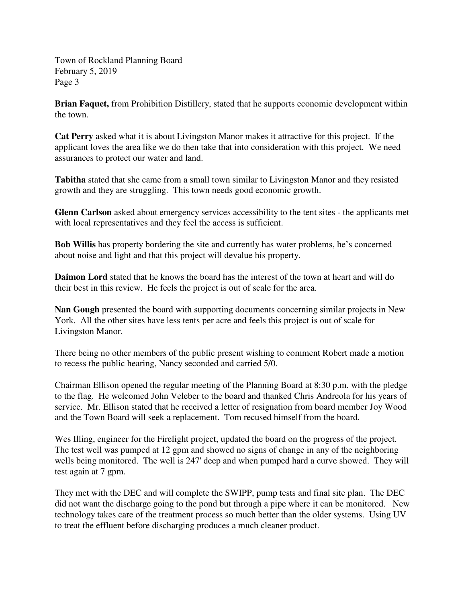Town of Rockland Planning Board February 5, 2019 Page 3

**Brian Faquet,** from Prohibition Distillery, stated that he supports economic development within the town.

**Cat Perry** asked what it is about Livingston Manor makes it attractive for this project. If the applicant loves the area like we do then take that into consideration with this project. We need assurances to protect our water and land.

**Tabitha** stated that she came from a small town similar to Livingston Manor and they resisted growth and they are struggling. This town needs good economic growth.

**Glenn Carlson** asked about emergency services accessibility to the tent sites - the applicants met with local representatives and they feel the access is sufficient.

**Bob Willis** has property bordering the site and currently has water problems, he's concerned about noise and light and that this project will devalue his property.

**Daimon Lord** stated that he knows the board has the interest of the town at heart and will do their best in this review. He feels the project is out of scale for the area.

**Nan Gough** presented the board with supporting documents concerning similar projects in New York. All the other sites have less tents per acre and feels this project is out of scale for Livingston Manor.

There being no other members of the public present wishing to comment Robert made a motion to recess the public hearing, Nancy seconded and carried 5/0.

Chairman Ellison opened the regular meeting of the Planning Board at 8:30 p.m. with the pledge to the flag. He welcomed John Veleber to the board and thanked Chris Andreola for his years of service. Mr. Ellison stated that he received a letter of resignation from board member Joy Wood and the Town Board will seek a replacement. Tom recused himself from the board.

Wes Illing, engineer for the Firelight project, updated the board on the progress of the project. The test well was pumped at 12 gpm and showed no signs of change in any of the neighboring wells being monitored. The well is 247' deep and when pumped hard a curve showed. They will test again at 7 gpm.

They met with the DEC and will complete the SWIPP, pump tests and final site plan. The DEC did not want the discharge going to the pond but through a pipe where it can be monitored. New technology takes care of the treatment process so much better than the older systems. Using UV to treat the effluent before discharging produces a much cleaner product.